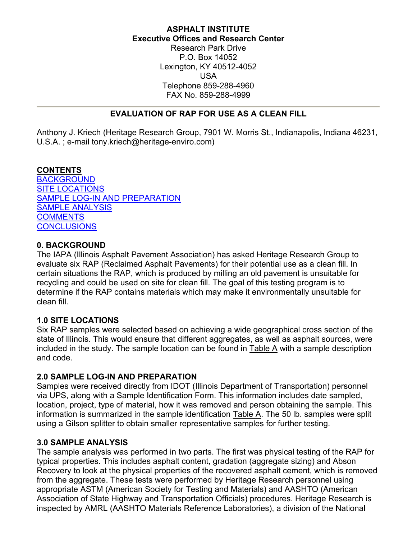## **ASPHALT INSTITUTE Executive Offices and Research Center**

Research Park Drive P.O. Box 14052 Lexington, KY 40512-4052 USA Telephone 859-288-4960 FAX No. 859-288-4999

# **EVALUATION OF RAP FOR USE AS A CLEAN FILL**

<span id="page-0-0"></span>Anthony J. Kriech (Heritage Research Group, 7901 W. Morris St., Indianapolis, Indiana 46231, U.S.A. ; e-mail tony.kriech@heritage-enviro.com)

#### **CONTENTS**

**[BACKGROUND](#page-0-0)** [SITE LOCATIONS](#page-0-0) [SAMPLE LOG-IN AND PREPARATION](#page-0-0) [SAMPLE ANALYSIS](#page-0-0) **[COMMENTS](#page-1-0) [CONCLUSIONS](#page-2-0)** 

### **0. BACKGROUND**

The IAPA (Illinois Asphalt Pavement Association) has asked Heritage Research Group to evaluate six RAP (Reclaimed Asphalt Pavements) for their potential use as a clean fill. In certain situations the RAP, which is produced by milling an old pavement is unsuitable for recycling and could be used on site for clean fill. The goal of this testing program is to determine if the RAP contains materials which may make it environmentally unsuitable for clean fill.

### **1.0 SITE LOCATIONS**

Six RAP samples were selected based on achieving a wide geographical cross section of the state of Illinois. This would ensure that different aggregates, as well as asphalt sources, were included in the study. The sample location can be found in [Table](#page-2-0) A with a sample description and code.

### **2.0 SAMPLE LOG-IN AND PREPARATION**

Samples were received directly from IDOT (Illinois Department of Transportation) personnel via UPS, along with a Sample Identification Form. This information includes date sampled, location, project, type of material, how it was removed and person obtaining the sample. This information is summarized in the sample identification [Table](#page-2-0) A. The 50 lb. samples were split using a Gilson splitter to obtain smaller representative samples for further testing.

### **3.0 SAMPLE ANALYSIS**

The sample analysis was performed in two parts. The first was physical testing of the RAP for typical properties. This includes asphalt content, gradation (aggregate sizing) and Abson Recovery to look at the physical properties of the recovered asphalt cement, which is removed from the aggregate. These tests were performed by Heritage Research personnel using appropriate ASTM (American Society for Testing and Materials) and AASHTO (American Association of State Highway and Transportation Officials) procedures. Heritage Research is inspected by AMRL (AASHTO Materials Reference Laboratories), a division of the National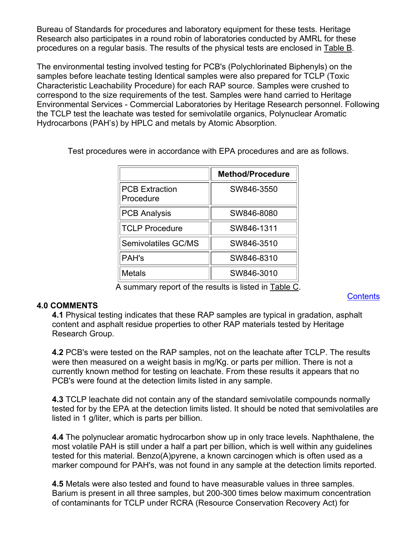<span id="page-1-0"></span>Bureau of Standards for procedures and laboratory equipment for these tests. Heritage Research also participates in a round robin of laboratories conducted by AMRL for these procedures on a regular basis. The results of the physical tests are enclosed in [Table B.](#page-3-0)

The environmental testing involved testing for PCB's (Polychlorinated Biphenyls) on the samples before leachate testing Identical samples were also prepared for TCLP (Toxic Characteristic Leachability Procedure) for each RAP source. Samples were crushed to correspond to the size requirements of the test. Samples were hand carried to Heritage Environmental Services - Commercial Laboratories by Heritage Research personnel. Following the TCLP test the leachate was tested for semivolatile organics, Polynuclear Aromatic Hydrocarbons (PAH's) by HPLC and metals by Atomic Absorption.

|                                    | <b>Method/Procedure</b> |
|------------------------------------|-------------------------|
| <b>PCB Extraction</b><br>Procedure | SW846-3550              |
| <b>PCB Analysis</b>                | SW846-8080              |
| <b>TCLP Procedure</b>              | SW846-1311              |
| Semivolatiles GC/MS                | SW846-3510              |
| <b>PAH's</b>                       | SW846-8310              |
| <b>Metals</b>                      | SW846-3010              |

Test procedures were in accordance with EPA procedures and are as follows.

A summary report of the results is listed in [Table C.](#page-4-0)

#### **4.0 COMMENTS**

**4.1** Physical testing indicates that these RAP samples are typical in gradation, asphalt content and asphalt residue properties to other RAP materials tested by Heritage Research Group.

**4.2** PCB's were tested on the RAP samples, not on the leachate after TCLP. The results were then measured on a weight basis in mg/Kg. or parts per million. There is not a currently known method for testing on leachate. From these results it appears that no PCB's were found at the detection limits listed in any sample.

**4.3** TCLP leachate did not contain any of the standard semivolatile compounds normally tested for by the EPA at the detection limits listed. It should be noted that semivolatiles are listed in 1 g/liter, which is parts per billion.

**4.4** The polynuclear aromatic hydrocarbon show up in only trace levels. Naphthalene, the most volatile PAH is still under a half a part per billion, which is well within any guidelines tested for this material. Benzo(A)pyrene, a known carcinogen which is often used as a marker compound for PAH's, was not found in any sample at the detection limits reported.

**4.5** Metals were also tested and found to have measurable values in three samples. Barium is present in all three samples, but 200-300 times below maximum concentration of contaminants for TCLP under RCRA (Resource Conservation Recovery Act) for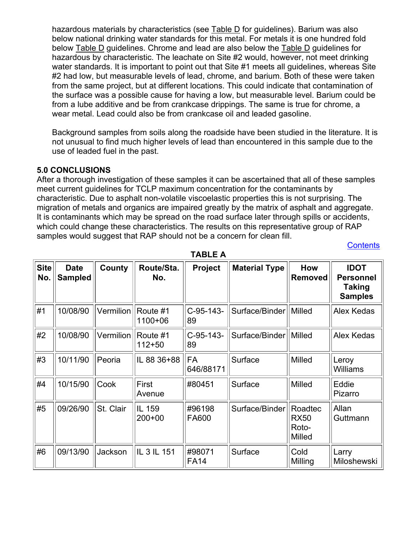<span id="page-2-0"></span>hazardous materials by characteristics (see [Table D](#page-6-0) for guidelines). Barium was also below national drinking water standards for this metal. For metals it is one hundred fold below Table D guidelines. Chrome and lead are also below the [Table D](#page-6-0) guidelines for hazardous by characteristic. The leachate on Site #2 would, however, not meet drinking water standards. It is important to point out that Site #1 meets all guidelines, whereas Site #2 had low, but measurable levels of lead, chrome, and barium. Both of these were taken from the same project, but at different locations. This could indicate that contamination of the surface was a possible cause for having a low, but measurable level. Barium could be from a lube additive and be from crankcase drippings. The same is true for chrome, a wear metal. Lead could also be from crankcase oil and leaded gasoline.

Background samples from soils along the roadside have been studied in the literature. It is not unusual to find much higher levels of lead than encountered in this sample due to the use of leaded fuel in the past.

#### **5.0 CONCLUSIONS**

After a thorough investigation of these samples it can be ascertained that all of these samples meet current guidelines for TCLP maximum concentration for the contaminants by characteristic. Due to asphalt non-volatile viscoelastic properties this is not surprising. The migration of metals and organics are impaired greatly by the matrix of asphalt and aggregate. It is contaminants which may be spread on the road surface later through spills or accidents, which could change these characteristics. The results on this representative group of RAP samples would suggest that RAP should not be a concern for clean fill. **[Contents](#page-0-0)** 

| <b>Site</b><br>No. | <b>Date</b><br><b>Sampled</b> | County    | Route/Sta.<br>No.      | Project                | <b>Material Type</b> | How<br><b>Removed</b>                     | <b>IDOT</b><br><b>Personnel</b><br><b>Taking</b><br><b>Samples</b> |
|--------------------|-------------------------------|-----------|------------------------|------------------------|----------------------|-------------------------------------------|--------------------------------------------------------------------|
| #1                 | 10/08/90                      | Vermilion | Route #1<br>1100+06    | $C-95-143-$<br>89      | Surface/Binder       | Milled                                    | Alex Kedas                                                         |
| #2                 | 10/08/90                      | Vermilion | Route #1<br>$112 + 50$ | C-95-143-<br>89        | Surface/Binder       | Milled                                    | Alex Kedas                                                         |
| #3                 | 10/11/90                      | Peoria    | IL 88 36+88            | <b>FA</b><br>646/88171 | Surface              | Milled                                    | Leroy<br><b>Williams</b>                                           |
| #4                 | 10/15/90                      | Cook      | First<br>Avenue        | #80451                 | Surface              | <b>Milled</b>                             | Eddie<br>Pizarro                                                   |
| #5                 | 09/26/90                      | St. Clair | IL 159<br>$200+00$     | #96198<br>FA600        | Surface/Binder       | Roadtec<br><b>RX50</b><br>Roto-<br>Milled | Allan<br>Guttmann                                                  |
| #6                 | 09/13/90                      | Jackson   | IL 3 IL 151            | #98071<br><b>FA14</b>  | Surface              | Cold<br>Milling                           | Larry<br>Miloshewski                                               |

**TABLE A**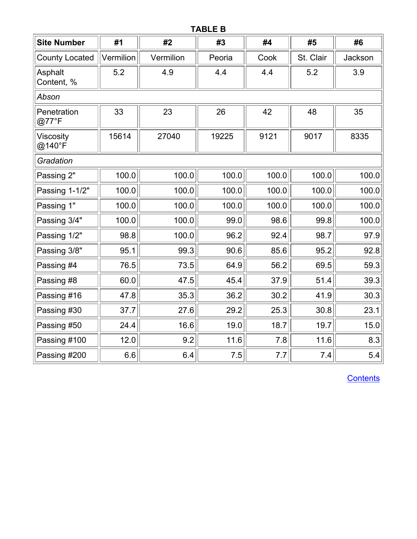# **TABLE B**

<span id="page-3-0"></span>

| <b>Site Number</b>         | #1        | #2        | #3            | #4    | #5        | #6      |  |  |  |
|----------------------------|-----------|-----------|---------------|-------|-----------|---------|--|--|--|
| <b>County Located</b>      | Vermilion | Vermilion | Peoria        | Cook  | St. Clair | Jackson |  |  |  |
| Asphalt<br>Content, %      | 5.2       | 4.9       | 4.4           | 4.4   | 5.2       | 3.9     |  |  |  |
| Abson                      |           |           |               |       |           |         |  |  |  |
| Penetration<br>@77°F       | 33        | 23        | 26            | 42    | 48        | 35      |  |  |  |
| <b>Viscosity</b><br>@140°F | 15614     | 27040     | 9121<br>19225 |       | 9017      | 8335    |  |  |  |
| Gradation                  |           |           |               |       |           |         |  |  |  |
| Passing 2"                 | 100.0     | 100.0     | 100.0         | 100.0 | 100.0     | 100.0   |  |  |  |
| Passing 1-1/2"             | 100.0     | 100.0     | 100.0         | 100.0 | 100.0     | 100.0   |  |  |  |
| Passing 1"                 | 100.0     | 100.0     | 100.0         | 100.0 | 100.0     | 100.0   |  |  |  |
| Passing 3/4"               | 100.0     | 100.0     | 99.0          | 98.6  | 99.8      | 100.0   |  |  |  |
| Passing 1/2"               | 98.8      | 100.0     | 96.2          | 92.4  | 98.7      | 97.9    |  |  |  |
| Passing 3/8"               | 95.1      | 99.3      | 90.6          | 85.6  | 95.2      | 92.8    |  |  |  |
| Passing #4                 | 76.5      | 73.5      | 64.9          | 56.2  | 69.5      | 59.3    |  |  |  |
| Passing #8                 | 60.0      | 47.5      | 45.4          | 37.9  | 51.4      | 39.3    |  |  |  |
| Passing #16                | 47.8      | 35.3      | 36.2          | 30.2  | 41.9      | 30.3    |  |  |  |
| Passing #30                | 37.7      | 27.6      | 29.2          | 25.3  | 30.8      | 23.1    |  |  |  |
| Passing #50                | 24.4      | 16.6      | 19.0          | 18.7  | 19.7      | 15.0    |  |  |  |
| Passing #100               | 12.0      | 9.2       | 11.6          | 7.8   | 11.6      | 8.3     |  |  |  |
| Passing #200               | 6.6       | 6.4       | 7.5           | 7.7   | 7.4       | 5.4     |  |  |  |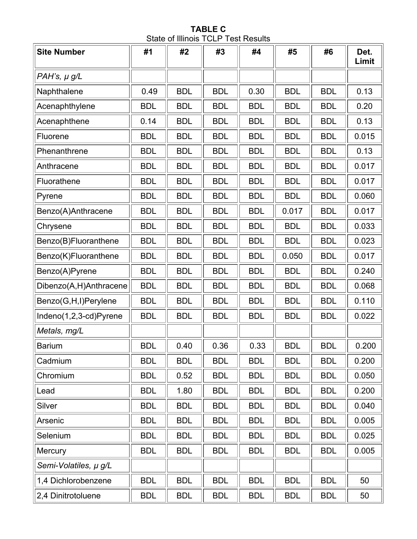**TABLE C**  State of Illinois TCLP Test Results

<span id="page-4-0"></span>

| <b>Site Number</b>     | #1         | #2         | #3         | #4         | #5         | #6         | Det.<br>Limit |
|------------------------|------------|------------|------------|------------|------------|------------|---------------|
| PAH's, $\mu$ g/L       |            |            |            |            |            |            |               |
| Naphthalene            | 0.49       | <b>BDL</b> | <b>BDL</b> | 0.30       | <b>BDL</b> | <b>BDL</b> | 0.13          |
| Acenaphthylene         | <b>BDL</b> | <b>BDL</b> | <b>BDL</b> | <b>BDL</b> | <b>BDL</b> | <b>BDL</b> | 0.20          |
| Acenaphthene           | 0.14       | <b>BDL</b> | <b>BDL</b> | <b>BDL</b> | <b>BDL</b> | <b>BDL</b> | 0.13          |
| Fluorene               | <b>BDL</b> | <b>BDL</b> | <b>BDL</b> | <b>BDL</b> | <b>BDL</b> | <b>BDL</b> | 0.015         |
| Phenanthrene           | <b>BDL</b> | <b>BDL</b> | <b>BDL</b> | <b>BDL</b> | <b>BDL</b> | <b>BDL</b> | 0.13          |
| Anthracene             | <b>BDL</b> | <b>BDL</b> | <b>BDL</b> | <b>BDL</b> | <b>BDL</b> | <b>BDL</b> | 0.017         |
| Fluorathene            | <b>BDL</b> | <b>BDL</b> | <b>BDL</b> | <b>BDL</b> | <b>BDL</b> | <b>BDL</b> | 0.017         |
| Pyrene                 | <b>BDL</b> | <b>BDL</b> | <b>BDL</b> | <b>BDL</b> | <b>BDL</b> | <b>BDL</b> | 0.060         |
| Benzo(A)Anthracene     | <b>BDL</b> | <b>BDL</b> | <b>BDL</b> | <b>BDL</b> | 0.017      | <b>BDL</b> | 0.017         |
| Chrysene               | <b>BDL</b> | <b>BDL</b> | <b>BDL</b> | <b>BDL</b> | <b>BDL</b> | <b>BDL</b> | 0.033         |
| Benzo(B)Fluoranthene   | <b>BDL</b> | <b>BDL</b> | <b>BDL</b> | <b>BDL</b> | <b>BDL</b> | <b>BDL</b> | 0.023         |
| Benzo(K)Fluoranthene   | <b>BDL</b> | <b>BDL</b> | <b>BDL</b> | <b>BDL</b> | 0.050      | <b>BDL</b> | 0.017         |
| Benzo(A)Pyrene         | <b>BDL</b> | <b>BDL</b> | <b>BDL</b> | <b>BDL</b> | <b>BDL</b> | <b>BDL</b> | 0.240         |
| Dibenzo(A,H)Anthracene | <b>BDL</b> | <b>BDL</b> | <b>BDL</b> | <b>BDL</b> | <b>BDL</b> | <b>BDL</b> | 0.068         |
| Benzo(G,H,I)Perylene   | <b>BDL</b> | <b>BDL</b> | <b>BDL</b> | <b>BDL</b> | <b>BDL</b> | <b>BDL</b> | 0.110         |
| Indeno(1,2,3-cd)Pyrene | <b>BDL</b> | <b>BDL</b> | <b>BDL</b> | <b>BDL</b> | <b>BDL</b> | <b>BDL</b> | 0.022         |
| Metals, mg/L           |            |            |            |            |            |            |               |
| <b>Barium</b>          | <b>BDL</b> | 0.40       | 0.36       | 0.33       | <b>BDL</b> | <b>BDL</b> | 0.200         |
| Cadmium                | <b>BDL</b> | <b>BDL</b> | <b>BDL</b> | <b>BDL</b> | <b>BDL</b> | <b>BDL</b> | 0.200         |
| Chromium               | <b>BDL</b> | 0.52       | <b>BDL</b> | <b>BDL</b> | <b>BDL</b> | <b>BDL</b> | 0.050         |
| Lead                   | <b>BDL</b> | 1.80       | <b>BDL</b> | <b>BDL</b> | <b>BDL</b> | <b>BDL</b> | 0.200         |
| Silver                 | <b>BDL</b> | <b>BDL</b> | <b>BDL</b> | <b>BDL</b> | <b>BDL</b> | <b>BDL</b> | 0.040         |
| Arsenic                | <b>BDL</b> | <b>BDL</b> | <b>BDL</b> | <b>BDL</b> | <b>BDL</b> | <b>BDL</b> | 0.005         |
| Selenium               | <b>BDL</b> | <b>BDL</b> | <b>BDL</b> | <b>BDL</b> | <b>BDL</b> | <b>BDL</b> | 0.025         |
| Mercury                | <b>BDL</b> | <b>BDL</b> | <b>BDL</b> | <b>BDL</b> | <b>BDL</b> | <b>BDL</b> | 0.005         |
| Semi-Volatiles, µ g/L  |            |            |            |            |            |            |               |
| 1,4 Dichlorobenzene    | <b>BDL</b> | <b>BDL</b> | <b>BDL</b> | <b>BDL</b> | <b>BDL</b> | <b>BDL</b> | 50            |
| 2,4 Dinitrotoluene     | <b>BDL</b> | <b>BDL</b> | <b>BDL</b> | <b>BDL</b> | <b>BDL</b> | <b>BDL</b> | 50            |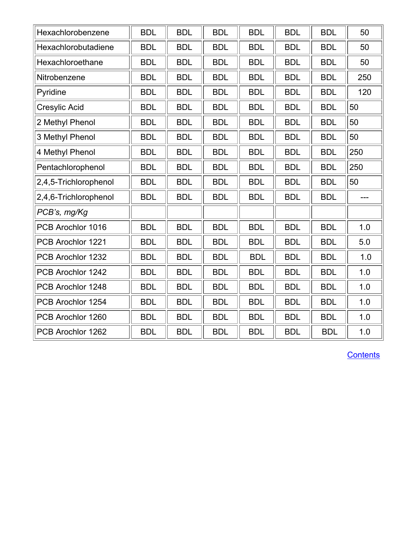| Hexachlorobenzene     | <b>BDL</b> | <b>BDL</b> | <b>BDL</b> | <b>BDL</b> | <b>BDL</b> | <b>BDL</b> | 50    |
|-----------------------|------------|------------|------------|------------|------------|------------|-------|
| Hexachlorobutadiene   | <b>BDL</b> | <b>BDL</b> | <b>BDL</b> | <b>BDL</b> | <b>BDL</b> | <b>BDL</b> | 50    |
| Hexachloroethane      | <b>BDL</b> | <b>BDL</b> | <b>BDL</b> | <b>BDL</b> | <b>BDL</b> | <b>BDL</b> | 50    |
| Nitrobenzene          | <b>BDL</b> | <b>BDL</b> | <b>BDL</b> | <b>BDL</b> | <b>BDL</b> | <b>BDL</b> | 250   |
| Pyridine              | <b>BDL</b> | <b>BDL</b> | <b>BDL</b> | <b>BDL</b> | <b>BDL</b> | <b>BDL</b> | 120   |
| Cresylic Acid         | <b>BDL</b> | <b>BDL</b> | <b>BDL</b> | <b>BDL</b> | <b>BDL</b> | <b>BDL</b> | 50    |
| 2 Methyl Phenol       | <b>BDL</b> | <b>BDL</b> | <b>BDL</b> | <b>BDL</b> | <b>BDL</b> | <b>BDL</b> | 50    |
| 3 Methyl Phenol       | <b>BDL</b> | <b>BDL</b> | <b>BDL</b> | <b>BDL</b> | <b>BDL</b> | <b>BDL</b> | 50    |
| 4 Methyl Phenol       | <b>BDL</b> | <b>BDL</b> | <b>BDL</b> | <b>BDL</b> | <b>BDL</b> | <b>BDL</b> | 250   |
| Pentachlorophenol     | <b>BDL</b> | <b>BDL</b> | <b>BDL</b> | <b>BDL</b> | <b>BDL</b> | <b>BDL</b> | 250   |
| 2,4,5-Trichlorophenol | <b>BDL</b> | <b>BDL</b> | <b>BDL</b> | <b>BDL</b> | <b>BDL</b> | <b>BDL</b> | 50    |
| 2,4,6-Trichlorophenol | <b>BDL</b> | <b>BDL</b> | <b>BDL</b> | <b>BDL</b> | <b>BDL</b> | <b>BDL</b> | $---$ |
| PCB's, mg/Kg          |            |            |            |            |            |            |       |
| PCB Arochlor 1016     | <b>BDL</b> | <b>BDL</b> | <b>BDL</b> | <b>BDL</b> | <b>BDL</b> | <b>BDL</b> | 1.0   |
| PCB Arochlor 1221     | <b>BDL</b> | <b>BDL</b> | <b>BDL</b> | <b>BDL</b> | <b>BDL</b> | <b>BDL</b> | 5.0   |
| PCB Arochlor 1232     | <b>BDL</b> | <b>BDL</b> | <b>BDL</b> | <b>BDL</b> | <b>BDL</b> | <b>BDL</b> | 1.0   |
| PCB Arochlor 1242     | <b>BDL</b> | <b>BDL</b> | <b>BDL</b> | <b>BDL</b> | <b>BDL</b> | <b>BDL</b> | 1.0   |
| PCB Arochlor 1248     | <b>BDL</b> | <b>BDL</b> | <b>BDL</b> | <b>BDL</b> | <b>BDL</b> | <b>BDL</b> | 1.0   |
| PCB Arochlor 1254     | <b>BDL</b> | <b>BDL</b> | <b>BDL</b> | <b>BDL</b> | <b>BDL</b> | <b>BDL</b> | 1.0   |
| PCB Arochlor 1260     | <b>BDL</b> | <b>BDL</b> | <b>BDL</b> | <b>BDL</b> | <b>BDL</b> | <b>BDL</b> | 1.0   |
| PCB Arochlor 1262     | <b>BDL</b> | <b>BDL</b> | <b>BDL</b> | <b>BDL</b> | <b>BDL</b> | <b>BDL</b> | 1.0   |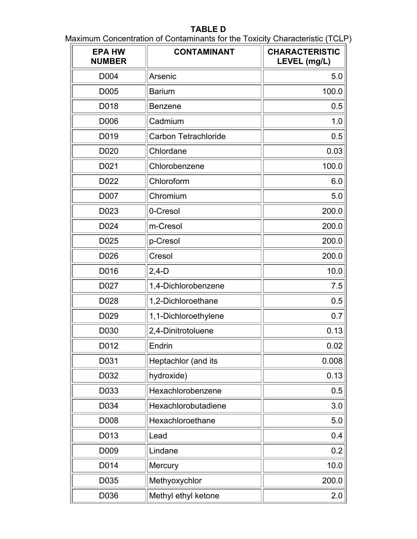# **TABLE D**

<span id="page-6-0"></span>Maximum Concentration of Contaminants for the Toxicity Characteristic (TCLP)

| <b>EPA HW</b><br><b>NUMBER</b> | <b>CONTAMINANT</b>          | <b>CHARACTERISTIC</b><br>LEVEL (mg/L) |
|--------------------------------|-----------------------------|---------------------------------------|
| D004                           | Arsenic                     | 5.0                                   |
| D005                           | <b>Barium</b>               | 100.0                                 |
| D018                           | <b>Benzene</b>              | 0.5                                   |
| D006                           | Cadmium                     | 1.0                                   |
| D019                           | <b>Carbon Tetrachloride</b> | 0.5                                   |
| D020                           | Chlordane                   | 0.03                                  |
| D021                           | Chlorobenzene               | 100.0                                 |
| D022                           | Chloroform                  | 6.0                                   |
| D007                           | Chromium                    | 5.0                                   |
| D023                           | 0-Cresol                    | 200.0                                 |
| D024                           | m-Cresol                    | 200.0                                 |
| D025                           | p-Cresol                    | 200.0                                 |
| D026                           | Cresol                      | 200.0                                 |
| D016                           | $2,4-D$                     | 10.0                                  |
| D027                           | 1,4-Dichlorobenzene         | 7.5                                   |
| D028                           | 1,2-Dichloroethane          | 0.5                                   |
| D <sub>029</sub>               | 1,1-Dichloroethylene        | 0.7                                   |
| D030                           | 2,4-Dinitrotoluene          | 0.13                                  |
| D012                           | Endrin                      | 0.02                                  |
| D031                           | Heptachlor (and its         | 0.008                                 |
| D032                           | hydroxide)                  | 0.13                                  |
| D033                           | Hexachlorobenzene           | 0.5                                   |
| D034                           | Hexachlorobutadiene         | 3.0                                   |
| D008                           | Hexachloroethane            | 5.0                                   |
| D013                           | Lead                        | 0.4                                   |
| D009                           | Lindane                     | 0.2                                   |
| D014                           | Mercury                     | 10.0                                  |
| D035                           | Methyoxychlor               | 200.0                                 |
| D036                           | Methyl ethyl ketone         | 2.0                                   |